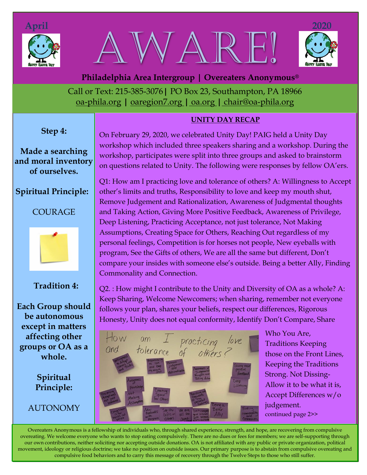





Call or Text: 215-385-3076**|** PO Box 23, Southampton, PA 18966 oa-phila.org **|** [oaregion7.org](file:///C:/Users/Owner/Documents/oaregion7.org) **|** oa.org **|** chair@oa-phila.org  **Philadelphia Area Intergroup | Overeaters Anonymous®**

### **UNITY DAY RECAP**

**Step 4:**

**Made a searching and moral inventory of ourselves.** 

## **Spiritual Principle:**

COURAGE



# **Tradition 4:**

**Each Group should be autonomous except in matters affecting other groups or OA as a whole.**

> **Spiritual Principle:**

**AUTONOMY** 

On February 29, 2020, we celebrated Unity Day! PAIG held a Unity Day workshop which included three speakers sharing and a workshop. During the workshop, participates were split into three groups and asked to brainstorm on questions related to Unity. The following were responses by fellow OA'ers.

Q1: How am I practicing love and tolerance of others? A: Willingness to Accept other's limits and truths, Responsibility to love and keep my mouth shut, Remove Judgement and Rationalization, Awareness of Judgmental thoughts and Taking Action, Giving More Positive Feedback, Awareness of Privilege, Deep Listening, Practicing Acceptance, not just tolerance, Not Making Assumptions, Creating Space for Others, Reaching Out regardless of my personal feelings, Competition is for horses not people, New eyeballs with program, See the Gifts of others, We are all the same but different, Don't compare your insides with someone else's outside. Being a better Ally, Finding Commonality and Connection.

Q2. : How might I contribute to the Unity and Diversity of OA as a whole? A: Keep Sharing, Welcome Newcomers; when sharing, remember not everyone follows your plan, shares your beliefs, respect our differences, Rigorous Honesty, Unity does not equal conformity, Identify Don't Compare, Share



Who You Are, Traditions Keeping those on the Front Lines, Keeping the Traditions Strong. Not Dissing-Allow it to be what it is, Accept Differences w/o judgement. continued page 2>>

Overeaters Anonymous is a fellowship of individuals who, through shared experience, strength, and hope, are recovering from compulsive overeating. We welcome everyone who wants to stop eating compulsively. There are no dues or fees for members; we are self-supporting through our own contributions, neither soliciting nor accepting outside donations. OA is not affiliated with any public or private organization, political movement, ideology or religious doctrine; we take no position on outside issues. Our primary purpose is to abstain from compulsive overeating and compulsive food behaviors and to carry this message of recovery through the Twelve Steps to those who still suffer.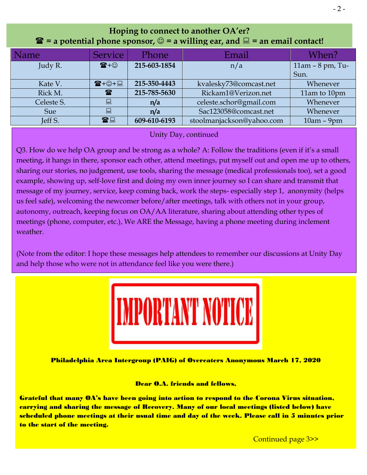| $\mathbf{\hat{a}}$ = a potential phone sponsor, $\odot$ = a willing ear, and $\Box$ = an email contact! |                      |              |                           |                     |
|---------------------------------------------------------------------------------------------------------|----------------------|--------------|---------------------------|---------------------|
| Name                                                                                                    | <b>Service</b>       | Phone        | Email                     | When?               |
| Judy R.                                                                                                 | $\mathbf{E} + \odot$ | 215-603-1854 | n/a                       | $11am - 8 pm$ , Tu- |
|                                                                                                         |                      |              |                           | Sun.                |
| Kate V.                                                                                                 | ☎+☉+圓                | 215-350-4443 | kvalesky73@comcast.net    | Whenever            |
| Rick M.                                                                                                 | $\mathbf{R}$         | 215-785-5630 | Rickam1@Verizon.net       | 11am to 10pm        |
| Celeste S.                                                                                              |                      | n/a          | celeste.schor@gmail.com   | Whenever            |
| <b>Sue</b>                                                                                              |                      | n/a          | Sac123058@comcast.net     | Whenever            |
| Jeff S.                                                                                                 | 雷口                   | 609-610-6193 | stoolmanjackson@yahoo.com | $10am - 9pm$        |

## **Hoping to connect to another OA'er?**   $**T**$  **= a potential phone sponsor, ☺ = a willing ear, and ■ = an email contact!**

Kate V. +☺+ **215-350-4443** [kvalesky73@comcast.net](mailto:kvalesky73@comcast.net) Whenever Unity Day, continued Rick M. **215-785-5630** [Rickam1@Verizon.net](mailto:Rickam1@Verizon.net) 11am to 10pm

Q3. How do we help OA group and be strong as a w[hole? A: Follow the traditi](mailto:celeste.schor@gmail.com)ons (even if it's a small meeting, it hangs in there, sponsor each other, attend [meetings, put myself out](mailto:Sac123058@comcast.net) and open me up to others, sharing our stories, no judgement, use tools, sharing the message (medical professionals too), set a good example, showing up, self-love first and doing my own inner journey so I can share and transmit that **DEPS** in also about the verse of my journey, service, keep coming back, work the steps- especially step 1, anonymity (helps us feel safe), welcoming the newcomer before/after meetings, talk with others not in your group, autonomy, outreach, keeping focus on OA/AA literature, sharing about attending other types of meetings (phone, computer, etc.), We ARE the Message, having a phone meeting during inclement **Celester**. *Celester S. <b>Celester* S. *Celester S. Whenever, Whenever, Whenever, Whenever, Whenever, Whenever, Whenever, Whenever, Whenever, Whenever, Whenever, Whenever, Whenever, Whenever, Whenever, Whenever, Whene* weather.

(Note from the editor: I hope these messages help attendees to remember our discussions at Unity Day and help those who were not in attendance feel like you were there.)



Philadelphia Area Intergroup (PAIG) of Overeaters Anonymous March 17, 2020

Dear O.A. friends and fellows,

Grateful that many OA's have been going into action to respond to the Corona Virus situation, carrying and sharing the message of Recovery. Many of our local meetings (listed below) have scheduled phone meetings at their usual time and day of the week. Please call in 5 minutes prior to the start of the meeting.

Continued page 3>>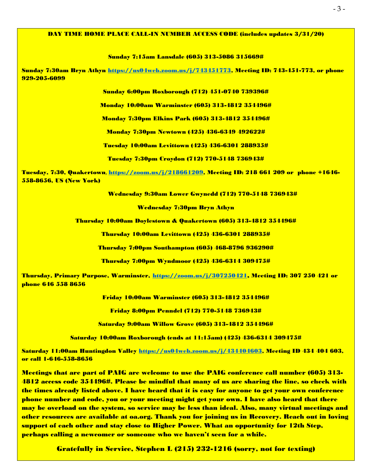#### DAY TIME HOME PLACE CALL-IN NUMBER ACCESS CODE (includes updates 3/31/20)

Sunday 7:15am Lansdale (605) 313-5086 315669#

Sunday 7:30am Bryn Athyn [https://us04web.zoom.us/j/743451773,](https://us04web.zoom.us/j/743451773) Meeting ID: 743-451-773, or phone 929-205-6099

Sunday 6:00pm Roxborough (712) 451-0740 739396#

Monday 10:00am Warminster (605) 313-4812 354496#

Monday 7:30pm Elkins Park (605) 313-4812 354496#

Monday 7:30pm Newtown (425) 436-6349 492622#

Tuesday 10:00am Levittown (425) 436-6301 288935#

Tuesday 7:30pm Croydon (712) 770-5148 736943#

Tuesday, 7:30, Quakertown, [https://zoom.us/j/218661209,](https://www.google.com/url?q=https%3A%2F%2Fzoom.us%2Fj%2F218661209&sa=D&usd=2&usg=AFQjCNEU28tRZ5x7LzJFoXlxfH7Dh8ttdA) Meeting ID: 218 661 209 or phone +1646- 558-8656, US (New York)

Wednesday 9:30am Lower Gwynedd (712) 770-5148 736943#

Wednesday 7:30pm Bryn Athyn

Thursday 10:00am Doylestown & Quakertown (605) 313-4812 354496#

Thursday 10:00am Levittown (425) 436-6301 288935#

Thursday 7:00pm Southampton (605) 468-8796 936290#

Thursday 7:00pm Wyndmoor (425) 436-6314 309475#

Thursday, Primary Purpose, Warminster, [https://zoom.us/j/307250421](https://zoom.us/j/307250421?fbclid=IwAR0HivS3u2BQbQ04u_EGaKdcXSIVfFQ8t5RD4b5WSPdB1jfJ7UbTt89xVF4), Meeting ID: 307 250 421 or phone 646 558 8656

Friday 10:00am Warminster (605) 313-4812 354496#

Friday 8:00pm Penndel (712) 770-5148 736943#

Saturday 9:00am Willow Grove (605) 313-4812 354496#

Saturday 10:00am Roxborough (ends at 11:15am) (425) 436-6314 309475#

Saturday 11:00am Huntingdon Valley [https://us04web.zoom.us/j/434404603,](https://us04web.zoom.us/j/434404603) Meeting ID 434 404 603, or call 1-646-558-8656

Meetings that are part of PAIG are welcome to use the PAIG conference call number (605) 313- 4812 access code 354496#. Please be mindful that many of us are sharing the line, so check with the times already listed above. I have heard that it is easy for anyone to get your own conference phone number and code, you or your meeting might get your own. I have also heard that there may be overload on the system, so service may be less than ideal. Also, many virtual meetings and other resources are available at oa.org. Thank you for joining us in Recovery. Reach out in loving support of each other and stay close to Higher Power. What an opportunity for 12th Step, perhaps calling a newcomer or someone who we haven't seen for a while.

Gratefully in Service, Stephen L (215) 232-1216 (sorry, not for texting)